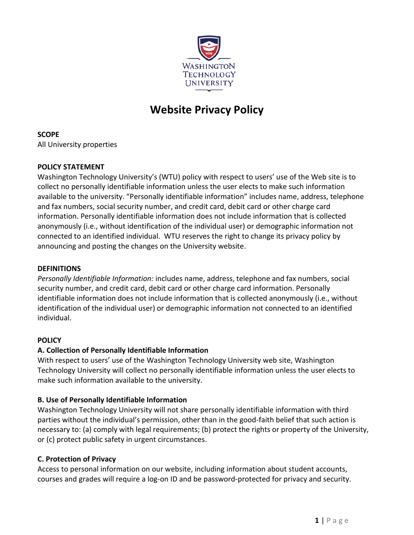

# **Website Privacy Policy**

#### **SCOPE** All University properties

### **POLICY STATEMENT**

Washington Technology University's (WTU) policy with respect to users' use of the Web site is to collect no personally identifiable information unless the user elects to make such information available to the university. "Personally identifiable information" includes name, address, telephone and fax numbers, social security number, and credit card, debit card or other charge card information. Personally identifiable information does not include information that is collected anonymously (i.e., without identification of the individual user) or demographic information not connected to an identified individual. WTU reserves the right to change its privacy policy by announcing and posting the changes on the University website.

#### **DEFINITIONS**

*Personally Identifiable Information:* includes name, address, telephone and fax numbers, social security number, and credit card, debit card or other charge card information. Personally identifiable information does not include information that is collected anonymously (i.e., without identification of the individual user) or demographic information not connected to an identified individual.

#### **POLICY**

## **A. Collection of Personally Identifiable Information**

With respect to users' use of the Washington Technology University web site, Washington Technology University will collect no personally identifiable information unless the user elects to make such information available to the university.

## **B. Use of Personally Identifiable Information**

Washington Technology University will not share personally identifiable information with third parties without the individual's permission, other than in the good-faith belief that such action is necessary to: (a) comply with legal requirements; (b) protect the rights or property of the University, or (c) protect public safety in urgent circumstances.

#### **C. Protection of Privacy**

Access to personal information on our website, including information about student accounts, courses and grades will require a log-on ID and be password-protected for privacy and security.